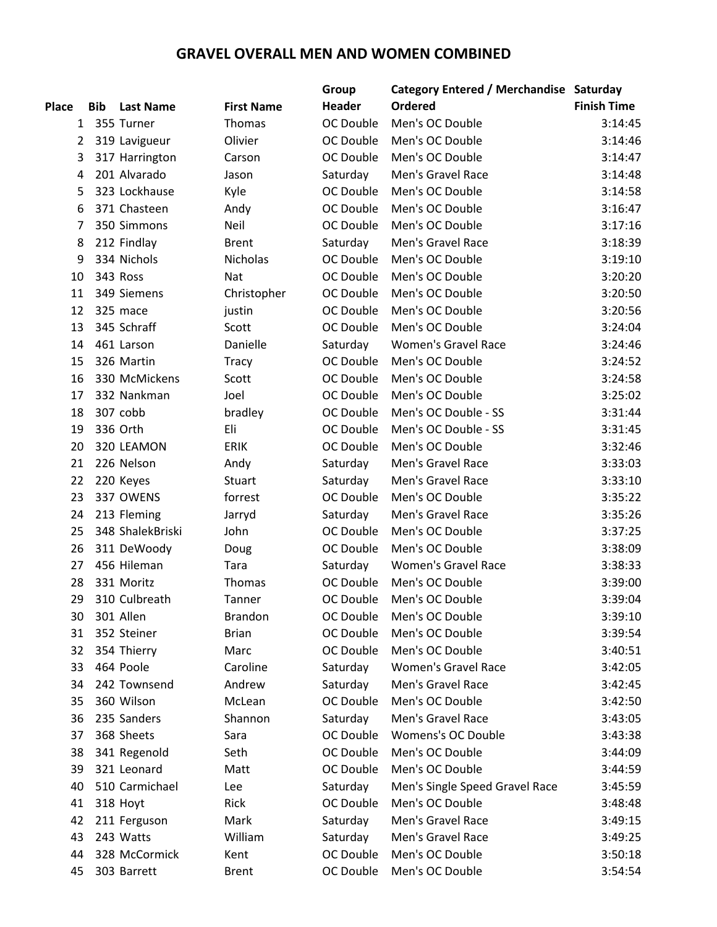## **GRAVEL OVERALL MEN AND WOMEN COMBINED**

|                |            |                  |                   | Group            | <b>Category Entered / Merchandise Saturday</b> |                    |
|----------------|------------|------------------|-------------------|------------------|------------------------------------------------|--------------------|
| <b>Place</b>   | <b>Bib</b> | <b>Last Name</b> | <b>First Name</b> | <b>Header</b>    | <b>Ordered</b>                                 | <b>Finish Time</b> |
| $\mathbf{1}$   |            | 355 Turner       | Thomas            | OC Double        | Men's OC Double                                | 3:14:45            |
| $\overline{2}$ |            | 319 Lavigueur    | Olivier           | OC Double        | Men's OC Double                                | 3:14:46            |
| 3              |            | 317 Harrington   | Carson            | OC Double        | Men's OC Double                                | 3:14:47            |
| 4              |            | 201 Alvarado     | Jason             | Saturday         | Men's Gravel Race                              | 3:14:48            |
| 5              |            | 323 Lockhause    | Kyle              | OC Double        | Men's OC Double                                | 3:14:58            |
| 6              |            | 371 Chasteen     | Andy              | OC Double        | Men's OC Double                                | 3:16:47            |
| 7              |            | 350 Simmons      | Neil              | OC Double        | Men's OC Double                                | 3:17:16            |
| 8              |            | 212 Findlay      | <b>Brent</b>      | Saturday         | Men's Gravel Race                              | 3:18:39            |
| 9              |            | 334 Nichols      | <b>Nicholas</b>   | OC Double        | Men's OC Double                                | 3:19:10            |
| 10             |            | 343 Ross         | Nat               | OC Double        | Men's OC Double                                | 3:20:20            |
| 11             |            | 349 Siemens      | Christopher       | OC Double        | Men's OC Double                                | 3:20:50            |
| 12             |            | 325 mace         | justin            | OC Double        | Men's OC Double                                | 3:20:56            |
| 13             |            | 345 Schraff      | Scott             | OC Double        | Men's OC Double                                | 3:24:04            |
| 14             |            | 461 Larson       | Danielle          | Saturday         | <b>Women's Gravel Race</b>                     | 3:24:46            |
| 15             |            | 326 Martin       | <b>Tracy</b>      | OC Double        | Men's OC Double                                | 3:24:52            |
| 16             |            | 330 McMickens    | Scott             | OC Double        | Men's OC Double                                | 3:24:58            |
| 17             |            | 332 Nankman      | Joel              | OC Double        | Men's OC Double                                | 3:25:02            |
| 18             |            | 307 cobb         | bradley           | OC Double        | Men's OC Double - SS                           | 3:31:44            |
| 19             |            | 336 Orth         | Eli               | OC Double        | Men's OC Double - SS                           | 3:31:45            |
| 20             |            | 320 LEAMON       | <b>ERIK</b>       | OC Double        | Men's OC Double                                | 3:32:46            |
| 21             |            | 226 Nelson       | Andy              | Saturday         | Men's Gravel Race                              | 3:33:03            |
| 22             |            | 220 Keyes        | Stuart            | Saturday         | Men's Gravel Race                              | 3:33:10            |
| 23             |            | 337 OWENS        | forrest           | OC Double        | Men's OC Double                                | 3:35:22            |
| 24             |            | 213 Fleming      | Jarryd            | Saturday         | Men's Gravel Race                              | 3:35:26            |
| 25             |            | 348 ShalekBriski | John              | OC Double        | Men's OC Double                                | 3:37:25            |
| 26             |            | 311 DeWoody      | Doug              | OC Double        | Men's OC Double                                | 3:38:09            |
| 27             |            | 456 Hileman      | Tara              | Saturday         | <b>Women's Gravel Race</b>                     | 3:38:33            |
| 28             |            | 331 Moritz       | Thomas            | OC Double        | Men's OC Double                                | 3:39:00            |
| 29             |            | 310 Culbreath    | Tanner            | OC Double        | Men's OC Double                                | 3:39:04            |
| 30             |            | 301 Allen        | <b>Brandon</b>    | OC Double        | Men's OC Double                                | 3:39:10            |
| 31             |            | 352 Steiner      | <b>Brian</b>      | OC Double        | Men's OC Double                                | 3:39:54            |
| 32             |            | 354 Thierry      | Marc              | OC Double        | Men's OC Double                                | 3:40:51            |
| 33             |            | 464 Poole        | Caroline          | Saturday         | <b>Women's Gravel Race</b>                     | 3:42:05            |
| 34             |            | 242 Townsend     | Andrew            | Saturday         | Men's Gravel Race                              | 3:42:45            |
| 35             |            | 360 Wilson       | McLean            | OC Double        | Men's OC Double                                | 3:42:50            |
| 36             |            | 235 Sanders      | Shannon           | Saturday         | Men's Gravel Race                              | 3:43:05            |
| 37             |            | 368 Sheets       | Sara              | OC Double        | <b>Womens's OC Double</b>                      | 3:43:38            |
| 38             |            | 341 Regenold     | Seth              | <b>OC Double</b> | Men's OC Double                                | 3:44:09            |
| 39             |            | 321 Leonard      | Matt              | OC Double        | Men's OC Double                                | 3:44:59            |
| 40             |            | 510 Carmichael   | Lee               | Saturday         | Men's Single Speed Gravel Race                 | 3:45:59            |
| 41             |            | 318 Hoyt         | Rick              | OC Double        | Men's OC Double                                | 3:48:48            |
| 42             |            | 211 Ferguson     | Mark              | Saturday         | Men's Gravel Race                              | 3:49:15            |
| 43             |            | 243 Watts        | William           | Saturday         | Men's Gravel Race                              | 3:49:25            |
| 44             |            | 328 McCormick    | Kent              | OC Double        | Men's OC Double                                | 3:50:18            |
| 45             |            | 303 Barrett      | <b>Brent</b>      | OC Double        | Men's OC Double                                | 3:54:54            |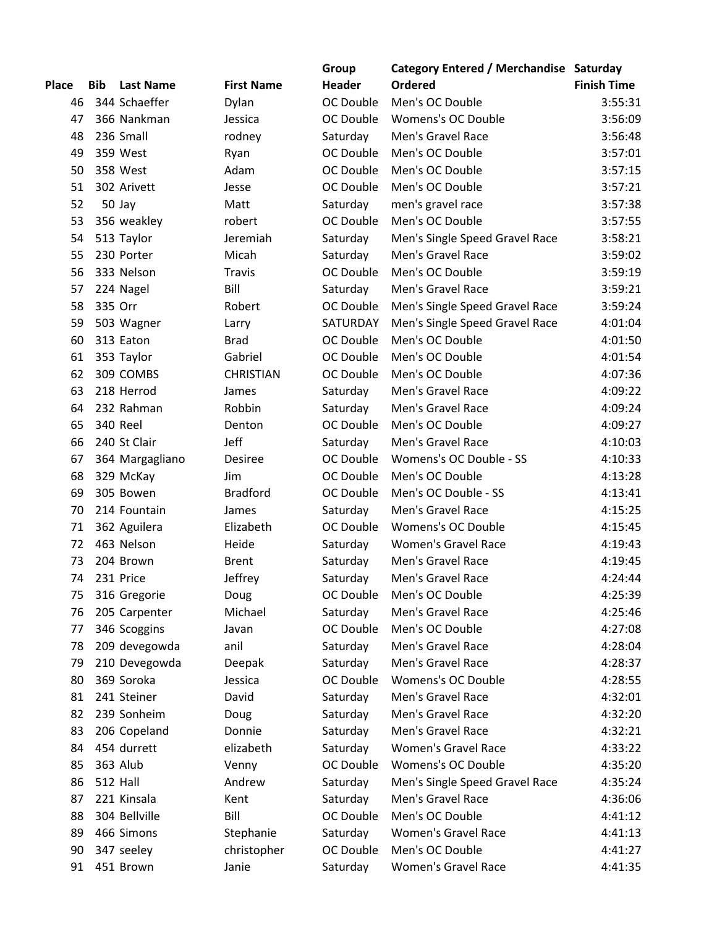|              |            |                  |                   | Group         | Category Entered / Merchandise Saturday |                    |
|--------------|------------|------------------|-------------------|---------------|-----------------------------------------|--------------------|
| <b>Place</b> | <b>Bib</b> | <b>Last Name</b> | <b>First Name</b> | <b>Header</b> | <b>Ordered</b>                          | <b>Finish Time</b> |
| 46           |            | 344 Schaeffer    | Dylan             | OC Double     | Men's OC Double                         | 3:55:31            |
| 47           |            | 366 Nankman      | Jessica           | OC Double     | Womens's OC Double                      | 3:56:09            |
| 48           |            | 236 Small        | rodney            | Saturday      | Men's Gravel Race                       | 3:56:48            |
| 49           |            | 359 West         | Ryan              | OC Double     | Men's OC Double                         | 3:57:01            |
| 50           |            | 358 West         | Adam              | OC Double     | Men's OC Double                         | 3:57:15            |
| 51           |            | 302 Arivett      | Jesse             | OC Double     | Men's OC Double                         | 3:57:21            |
| 52           |            | 50 Jay           | Matt              | Saturday      | men's gravel race                       | 3:57:38            |
| 53           |            | 356 weakley      | robert            | OC Double     | Men's OC Double                         | 3:57:55            |
| 54           |            | 513 Taylor       | Jeremiah          | Saturday      | Men's Single Speed Gravel Race          | 3:58:21            |
| 55           |            | 230 Porter       | Micah             | Saturday      | Men's Gravel Race                       | 3:59:02            |
| 56           |            | 333 Nelson       | <b>Travis</b>     | OC Double     | Men's OC Double                         | 3:59:19            |
| 57           |            | 224 Nagel        | Bill              | Saturday      | Men's Gravel Race                       | 3:59:21            |
| 58           | 335 Orr    |                  | Robert            | OC Double     | Men's Single Speed Gravel Race          | 3:59:24            |
|              |            |                  |                   |               |                                         |                    |
| 59           |            | 503 Wagner       | Larry             | SATURDAY      | Men's Single Speed Gravel Race          | 4:01:04            |
| 60           |            | 313 Eaton        | <b>Brad</b>       | OC Double     | Men's OC Double                         | 4:01:50            |
| 61           |            | 353 Taylor       | Gabriel           | OC Double     | Men's OC Double                         | 4:01:54            |
| 62           |            | 309 COMBS        | <b>CHRISTIAN</b>  | OC Double     | Men's OC Double                         | 4:07:36            |
| 63           |            | 218 Herrod       | James             | Saturday      | Men's Gravel Race                       | 4:09:22            |
| 64           |            | 232 Rahman       | Robbin            | Saturday      | Men's Gravel Race                       | 4:09:24            |
| 65           |            | 340 Reel         | Denton            | OC Double     | Men's OC Double                         | 4:09:27            |
| 66           |            | 240 St Clair     | Jeff              | Saturday      | Men's Gravel Race                       | 4:10:03            |
| 67           |            | 364 Margagliano  | Desiree           | OC Double     | Womens's OC Double - SS                 | 4:10:33            |
| 68           |            | 329 McKay        | Jim               | OC Double     | Men's OC Double                         | 4:13:28            |
| 69           |            | 305 Bowen        | <b>Bradford</b>   | OC Double     | Men's OC Double - SS                    | 4:13:41            |
| 70           |            | 214 Fountain     | James             | Saturday      | Men's Gravel Race                       | 4:15:25            |
| 71           |            | 362 Aguilera     | Elizabeth         | OC Double     | Womens's OC Double                      | 4:15:45            |
| 72           |            | 463 Nelson       | Heide             | Saturday      | <b>Women's Gravel Race</b>              | 4:19:43            |
| 73           |            | 204 Brown        | <b>Brent</b>      | Saturday      | Men's Gravel Race                       | 4:19:45            |
| 74           |            | 231 Price        | Jeffrey           | Saturday      | Men's Gravel Race                       | 4:24:44            |
| 75           |            | 316 Gregorie     | Doug              | OC Double     | Men's OC Double                         | 4:25:39            |
| 76           |            | 205 Carpenter    | Michael           | Saturday      | Men's Gravel Race                       | 4:25:46            |
| 77           |            | 346 Scoggins     | Javan             | OC Double     | Men's OC Double                         | 4:27:08            |
| 78           |            | 209 devegowda    | anil              | Saturday      | Men's Gravel Race                       | 4:28:04            |
| 79           |            | 210 Devegowda    | Deepak            | Saturday      | Men's Gravel Race                       | 4:28:37            |
| 80           |            | 369 Soroka       | Jessica           | OC Double     | Womens's OC Double                      | 4:28:55            |
| 81           |            | 241 Steiner      | David             | Saturday      | Men's Gravel Race                       | 4:32:01            |
| 82           |            | 239 Sonheim      | Doug              | Saturday      | Men's Gravel Race                       | 4:32:20            |
| 83           |            | 206 Copeland     | Donnie            | Saturday      | Men's Gravel Race                       | 4:32:21            |
| 84           |            | 454 durrett      | elizabeth         | Saturday      | <b>Women's Gravel Race</b>              | 4:33:22            |
| 85           |            | 363 Alub         | Venny             | OC Double     | Womens's OC Double                      | 4:35:20            |
| 86           |            | <b>512 Hall</b>  | Andrew            | Saturday      | Men's Single Speed Gravel Race          | 4:35:24            |
|              |            |                  |                   |               |                                         |                    |
| 87           |            | 221 Kinsala      | Kent              | Saturday      | Men's Gravel Race                       | 4:36:06            |
| 88           |            | 304 Bellville    | Bill              | OC Double     | Men's OC Double                         | 4:41:12            |
| 89           |            | 466 Simons       | Stephanie         | Saturday      | <b>Women's Gravel Race</b>              | 4:41:13            |
| 90           |            | 347 seeley       | christopher       | OC Double     | Men's OC Double                         | 4:41:27            |
| 91           |            | 451 Brown        | Janie             | Saturday      | Women's Gravel Race                     | 4:41:35            |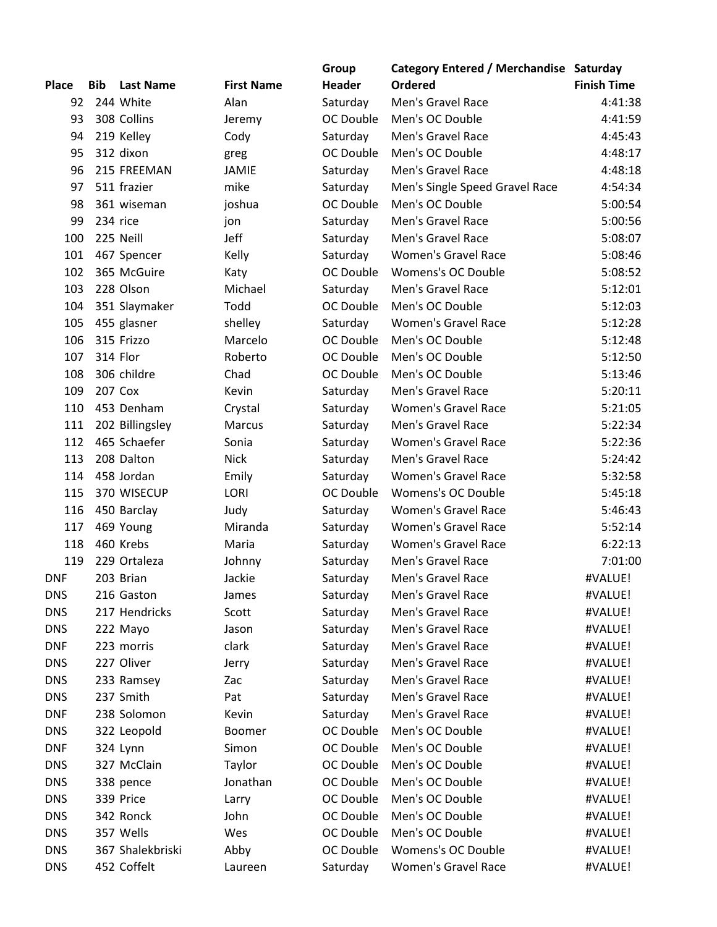|              |            |                        |                   | Group     | Category Entered / Merchandise Saturday |                    |
|--------------|------------|------------------------|-------------------|-----------|-----------------------------------------|--------------------|
| <b>Place</b> | <b>Bib</b> | <b>Last Name</b>       | <b>First Name</b> | Header    | Ordered                                 | <b>Finish Time</b> |
| 92           |            | 244 White              | Alan              | Saturday  | Men's Gravel Race                       | 4:41:38            |
| 93           |            | 308 Collins            | Jeremy            | OC Double | Men's OC Double                         | 4:41:59            |
| 94           |            | 219 Kelley             | Cody              | Saturday  | Men's Gravel Race                       | 4:45:43            |
| 95           |            | 312 dixon              | greg              | OC Double | Men's OC Double                         | 4:48:17            |
| 96           |            | 215 FREEMAN            | <b>JAMIE</b>      | Saturday  | Men's Gravel Race                       | 4:48:18            |
| 97           |            | 511 frazier            | mike              | Saturday  | Men's Single Speed Gravel Race          | 4:54:34            |
| 98           |            | 361 wiseman            | joshua            | OC Double | Men's OC Double                         | 5:00:54            |
| 99           |            | 234 rice               | jon               | Saturday  | Men's Gravel Race                       | 5:00:56            |
| 100          |            | 225 Neill              | Jeff              | Saturday  | Men's Gravel Race                       | 5:08:07            |
| 101          |            | 467 Spencer            | Kelly             | Saturday  | <b>Women's Gravel Race</b>              | 5:08:46            |
| 102          |            | 365 McGuire            | Katy              | OC Double | <b>Womens's OC Double</b>               | 5:08:52            |
| 103          |            | 228 Olson              | Michael           | Saturday  | Men's Gravel Race                       | 5:12:01            |
| 104          |            | 351 Slaymaker          | Todd              | OC Double | Men's OC Double                         | 5:12:03            |
| 105          |            | 455 glasner            | shelley           | Saturday  | <b>Women's Gravel Race</b>              | 5:12:28            |
| 106          |            | 315 Frizzo             | Marcelo           | OC Double | Men's OC Double                         | 5:12:48            |
| 107          |            | 314 Flor               | Roberto           | OC Double | Men's OC Double                         | 5:12:50            |
| 108          |            | 306 childre            | Chad              | OC Double | Men's OC Double                         | 5:13:46            |
| 109          |            | 207 Cox                | Kevin             | Saturday  | Men's Gravel Race                       | 5:20:11            |
| 110          |            | 453 Denham             | Crystal           | Saturday  | <b>Women's Gravel Race</b>              | 5:21:05            |
| 111          |            | 202 Billingsley        | Marcus            | Saturday  | Men's Gravel Race                       | 5:22:34            |
| 112          |            | 465 Schaefer           | Sonia             | Saturday  | <b>Women's Gravel Race</b>              | 5:22:36            |
| 113          |            | 208 Dalton             | <b>Nick</b>       | Saturday  | Men's Gravel Race                       | 5:24:42            |
| 114          |            | 458 Jordan             | Emily             | Saturday  | <b>Women's Gravel Race</b>              | 5:32:58            |
| 115          |            | 370 WISECUP            | <b>LORI</b>       | OC Double | <b>Womens's OC Double</b>               | 5:45:18            |
| 116          |            |                        | Judy              |           | <b>Women's Gravel Race</b>              | 5:46:43            |
| 117          |            | 450 Barclay            | Miranda           | Saturday  | <b>Women's Gravel Race</b>              | 5:52:14            |
| 118          |            | 469 Young<br>460 Krebs |                   | Saturday  | <b>Women's Gravel Race</b>              |                    |
| 119          |            |                        | Maria             | Saturday  | Men's Gravel Race                       | 6:22:13<br>7:01:00 |
|              |            | 229 Ortaleza           | Johnny            | Saturday  |                                         |                    |
| <b>DNF</b>   |            | 203 Brian              | Jackie            | Saturday  | Men's Gravel Race                       | #VALUE!            |
| <b>DNS</b>   |            | 216 Gaston             | James             | Saturday  | Men's Gravel Race                       | #VALUE!            |
| <b>DNS</b>   |            | 217 Hendricks          | Scott             | Saturday  | Men's Gravel Race                       | #VALUE!            |
| <b>DNS</b>   |            | 222 Mayo               | Jason             | Saturday  | Men's Gravel Race                       | #VALUE!            |
| <b>DNF</b>   |            | 223 morris             | clark             | Saturday  | Men's Gravel Race                       | #VALUE!            |
| <b>DNS</b>   |            | 227 Oliver             | Jerry             | Saturday  | Men's Gravel Race                       | #VALUE!            |
| <b>DNS</b>   |            | 233 Ramsey             | Zac               | Saturday  | Men's Gravel Race                       | #VALUE!            |
| <b>DNS</b>   |            | 237 Smith              | Pat               | Saturday  | Men's Gravel Race                       | #VALUE!            |
| <b>DNF</b>   |            | 238 Solomon            | Kevin             | Saturday  | Men's Gravel Race                       | #VALUE!            |
| <b>DNS</b>   |            | 322 Leopold            | Boomer            | OC Double | Men's OC Double                         | #VALUE!            |
| <b>DNF</b>   |            | 324 Lynn               | Simon             | OC Double | Men's OC Double                         | #VALUE!            |
| <b>DNS</b>   |            | 327 McClain            | Taylor            | OC Double | Men's OC Double                         | #VALUE!            |
| <b>DNS</b>   |            | 338 pence              | Jonathan          | OC Double | Men's OC Double                         | #VALUE!            |
| <b>DNS</b>   |            | 339 Price              | Larry             | OC Double | Men's OC Double                         | #VALUE!            |
| <b>DNS</b>   |            | 342 Ronck              | John              | OC Double | Men's OC Double                         | #VALUE!            |
| <b>DNS</b>   |            | 357 Wells              | Wes               | OC Double | Men's OC Double                         | #VALUE!            |
| <b>DNS</b>   |            | 367 Shalekbriski       | Abby              | OC Double | Womens's OC Double                      | #VALUE!            |
| <b>DNS</b>   |            | 452 Coffelt            | Laureen           | Saturday  | <b>Women's Gravel Race</b>              | #VALUE!            |